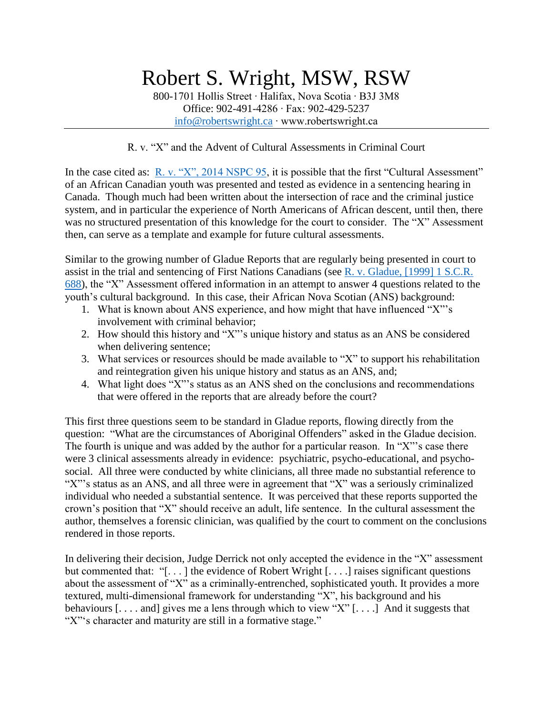## Robert S. Wright, MSW, RSW

800-1701 Hollis Street ∙ Halifax, Nova Scotia ∙ B3J 3M8 Office: 902-491-4286 ∙ Fax: 902-429-5237 [info@robertswright.ca](mailto:info@robertswright.ca) ∙ www.robertswright.ca

## R. v. "X" and the Advent of Cultural Assessments in Criminal Court

In the case cited as:  $R. v. "X", 2014 NSPC 95$ , it is possible that the first "Cultural Assessment" of an African Canadian youth was presented and tested as evidence in a sentencing hearing in Canada. Though much had been written about the intersection of race and the criminal justice system, and in particular the experience of North Americans of African descent, until then, there was no structured presentation of this knowledge for the court to consider. The "X" Assessment then, can serve as a template and example for future cultural assessments.

Similar to the growing number of Gladue Reports that are regularly being presented in court to assist in the trial and sentencing of First Nations Canadians (see [R. v. Gladue, \[1999\] 1 S.C.R.](http://www.canlii.org/en/ca/scc/doc/1999/1999canlii679/1999canlii679.pdf)  [688\)](http://www.canlii.org/en/ca/scc/doc/1999/1999canlii679/1999canlii679.pdf), the "X" Assessment offered information in an attempt to answer 4 questions related to the youth's cultural background. In this case, their African Nova Scotian (ANS) background:

- 1. What is known about ANS experience, and how might that have influenced "X"'s involvement with criminal behavior;
- 2. How should this history and "X"'s unique history and status as an ANS be considered when delivering sentence;
- 3. What services or resources should be made available to "X" to support his rehabilitation and reintegration given his unique history and status as an ANS, and;
- 4. What light does "X"'s status as an ANS shed on the conclusions and recommendations that were offered in the reports that are already before the court?

This first three questions seem to be standard in Gladue reports, flowing directly from the question: "What are the circumstances of Aboriginal Offenders" asked in the Gladue decision. The fourth is unique and was added by the author for a particular reason. In "X"'s case there were 3 clinical assessments already in evidence: psychiatric, psycho-educational, and psychosocial. All three were conducted by white clinicians, all three made no substantial reference to "X"'s status as an ANS, and all three were in agreement that "X" was a seriously criminalized individual who needed a substantial sentence. It was perceived that these reports supported the crown's position that "X" should receive an adult, life sentence. In the cultural assessment the author, themselves a forensic clinician, was qualified by the court to comment on the conclusions rendered in those reports.

In delivering their decision, Judge Derrick not only accepted the evidence in the "X" assessment but commented that: "[. . . ] the evidence of Robert Wright [. . . .] raises significant questions about the assessment of "X" as a criminally-entrenched, sophisticated youth. It provides a more textured, multi-dimensional framework for understanding "X", his background and his behaviours  $[\dots]$  and gives me a lens through which to view "X"  $[\dots]$  And it suggests that "X"'s character and maturity are still in a formative stage."